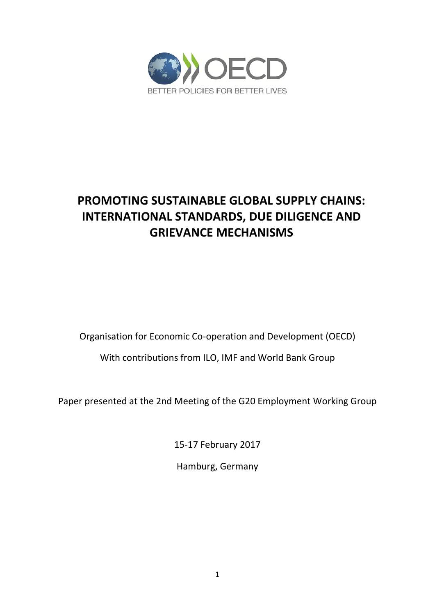

# **PROMOTING SUSTAINABLE GLOBAL SUPPLY CHAINS: INTERNATIONAL STANDARDS, DUE DILIGENCE AND GRIEVANCE MECHANISMS**

Organisation for Economic Co-operation and Development (OECD)

With contributions from ILO, IMF and World Bank Group

Paper presented at the 2nd Meeting of the G20 Employment Working Group

15-17 February 2017

Hamburg, Germany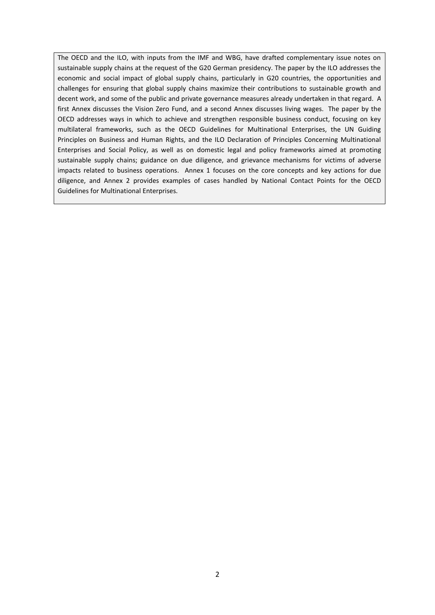The OECD and the ILO, with inputs from the IMF and WBG, have drafted complementary issue notes on sustainable supply chains at the request of the G20 German presidency. The paper by the ILO addresses the economic and social impact of global supply chains, particularly in G20 countries, the opportunities and challenges for ensuring that global supply chains maximize their contributions to sustainable growth and decent work, and some of the public and private governance measures already undertaken in that regard. A first Annex discusses the Vision Zero Fund, and a second Annex discusses living wages. The paper by the OECD addresses ways in which to achieve and strengthen responsible business conduct, focusing on key multilateral frameworks, such as the OECD Guidelines for Multinational Enterprises, the UN Guiding Principles on Business and Human Rights, and the ILO Declaration of Principles Concerning Multinational Enterprises and Social Policy, as well as on domestic legal and policy frameworks aimed at promoting sustainable supply chains; guidance on due diligence, and grievance mechanisms for victims of adverse impacts related to business operations. Annex 1 focuses on the core concepts and key actions for due diligence, and Annex 2 provides examples of cases handled by National Contact Points for the OECD Guidelines for Multinational Enterprises.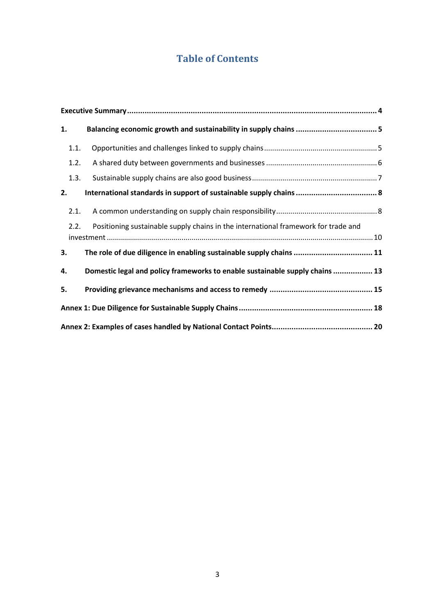# **Table of Contents**

| 1.   |                                                                                    |  |
|------|------------------------------------------------------------------------------------|--|
| 1.1. |                                                                                    |  |
| 1.2. |                                                                                    |  |
| 1.3. |                                                                                    |  |
| 2.   |                                                                                    |  |
| 2.1. |                                                                                    |  |
| 2.2. | Positioning sustainable supply chains in the international framework for trade and |  |
| 3.   | The role of due diligence in enabling sustainable supply chains  11                |  |
| 4.   | Domestic legal and policy frameworks to enable sustainable supply chains  13       |  |
| 5.   |                                                                                    |  |
|      |                                                                                    |  |
|      |                                                                                    |  |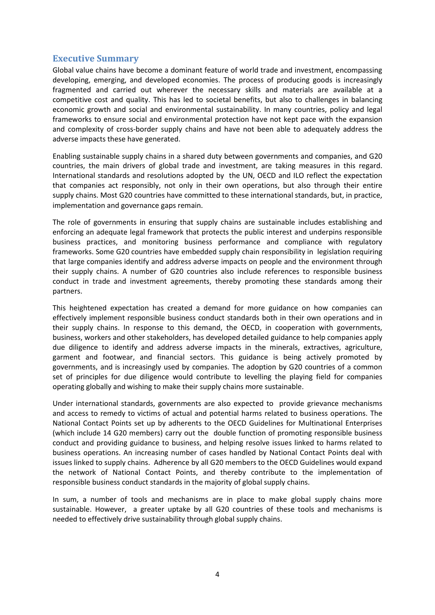## <span id="page-3-0"></span>**Executive Summary**

Global value chains have become a dominant feature of world trade and investment, encompassing developing, emerging, and developed economies. The process of producing goods is increasingly fragmented and carried out wherever the necessary skills and materials are available at a competitive cost and quality. This has led to societal benefits, but also to challenges in balancing economic growth and social and environmental sustainability. In many countries, policy and legal frameworks to ensure social and environmental protection have not kept pace with the expansion and complexity of cross-border supply chains and have not been able to adequately address the adverse impacts these have generated.

Enabling sustainable supply chains in a shared duty between governments and companies, and G20 countries, the main drivers of global trade and investment, are taking measures in this regard. International standards and resolutions adopted by the UN, OECD and ILO reflect the expectation that companies act responsibly, not only in their own operations, but also through their entire supply chains. Most G20 countries have committed to these international standards, but, in practice, implementation and governance gaps remain.

The role of governments in ensuring that supply chains are sustainable includes establishing and enforcing an adequate legal framework that protects the public interest and underpins responsible business practices, and monitoring business performance and compliance with regulatory frameworks. Some G20 countries have embedded supply chain responsibility in legislation requiring that large companies identify and address adverse impacts on people and the environment through their supply chains. A number of G20 countries also include references to responsible business conduct in trade and investment agreements, thereby promoting these standards among their partners.

This heightened expectation has created a demand for more guidance on how companies can effectively implement responsible business conduct standards both in their own operations and in their supply chains. In response to this demand, the OECD, in cooperation with governments, business, workers and other stakeholders, has developed detailed guidance to help companies apply due diligence to identify and address adverse impacts in the minerals, extractives, agriculture, garment and footwear, and financial sectors. This guidance is being actively promoted by governments, and is increasingly used by companies. The adoption by G20 countries of a common set of principles for due diligence would contribute to levelling the playing field for companies operating globally and wishing to make their supply chains more sustainable.

Under international standards, governments are also expected to provide grievance mechanisms and access to remedy to victims of actual and potential harms related to business operations. The National Contact Points set up by adherents to the OECD Guidelines for Multinational Enterprises (which include 14 G20 members) carry out the double function of promoting responsible business conduct and providing guidance to business, and helping resolve issues linked to harms related to business operations. An increasing number of cases handled by National Contact Points deal with issues linked to supply chains. Adherence by all G20 members to the OECD Guidelines would expand the network of National Contact Points, and thereby contribute to the implementation of responsible business conduct standards in the majority of global supply chains.

In sum, a number of tools and mechanisms are in place to make global supply chains more sustainable. However, a greater uptake by all G20 countries of these tools and mechanisms is needed to effectively drive sustainability through global supply chains.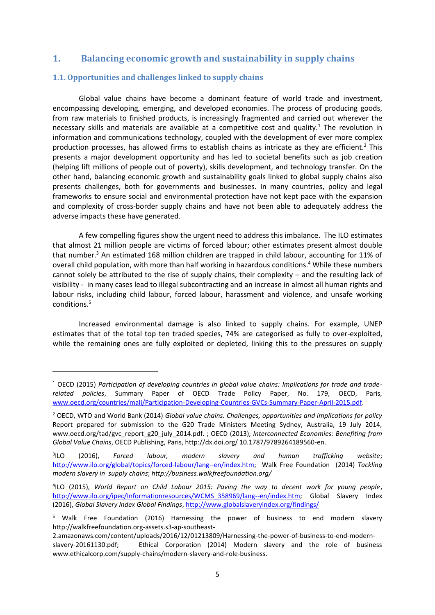# <span id="page-4-0"></span>**1. Balancing economic growth and sustainability in supply chains**

### <span id="page-4-1"></span>**1.1. Opportunities and challenges linked to supply chains**

1

Global value chains have become a dominant feature of world trade and investment, encompassing developing, emerging, and developed economies. The process of producing goods, from raw materials to finished products, is increasingly fragmented and carried out wherever the necessary skills and materials are available at a competitive cost and quality.<sup>1</sup> The revolution in information and communications technology, coupled with the development of ever more complex production processes, has allowed firms to establish chains as intricate as they are efficient.<sup>2</sup> This presents a major development opportunity and has led to societal benefits such as job creation (helping lift millions of people out of poverty), skills development, and technology transfer. On the other hand, balancing economic growth and sustainability goals linked to global supply chains also presents challenges, both for governments and businesses. In many countries, policy and legal frameworks to ensure social and environmental protection have not kept pace with the expansion and complexity of cross-border supply chains and have not been able to adequately address the adverse impacts these have generated.

A few compelling figures show the urgent need to address this imbalance. The ILO estimates that almost 21 million people are victims of forced labour; other estimates present almost double that number. $3$  An estimated 168 million children are trapped in child labour, accounting for 11% of overall child population, with more than half working in hazardous conditions.<sup>4</sup> While these numbers cannot solely be attributed to the rise of supply chains, their complexity – and the resulting lack of visibility - in many cases lead to illegal subcontracting and an increase in almost all human rights and labour risks, including child labour, forced labour, harassment and violence, and unsafe working conditions. 5

Increased environmental damage is also linked to supply chains. For example, UNEP estimates that of the total top ten traded species, 74% are categorised as fully to over-exploited, while the remaining ones are fully exploited or depleted, linking this to the pressures on supply

<sup>1</sup> OECD (2015) *Participation of developing countries in global value chains: Implications for trade and traderelated policies*, Summary Paper of OECD Trade Policy Paper, No. 179, OECD, Paris, [www.oecd.org/countries/mali/Participation-Developing-Countries-GVCs-Summary-Paper-April-2015.pdf.](http://www.oecd.org/countries/mali/Participation-Developing-Countries-GVCs-Summary-Paper-April-2015.pdf)

<sup>2</sup> OECD, WTO and World Bank (2014) *Global value chains. Challenges, opportunities and implications for policy* Report prepared for submission to the G20 Trade Ministers Meeting Sydney, Australia, 19 July 2014, www.oecd.org/tad/gvc\_report\_g20\_july\_2014.pdf. ; OECD (2013), *Interconnected Economies: Benefiting from Global Value Chains*, OECD Publishing, Paris, http://dx.doi.org/ 10.1787/9789264189560-en.

 $31LO$ ILO (2016), *Forced labour, modern slavery and human trafficking website*; [http://www.ilo.org/global/topics/forced-labour/lang--en/index.htm;](http://www.ilo.org/global/topics/forced-labour/lang--en/index.htm) Walk Free Foundation (2014) *Tackling modern slavery in supply chains*; *http://business.walkfreefoundation.org/*

<sup>4</sup> ILO (2015), *World Report on Child Labour 2015: Paving the way to decent work for young people*, [http://www.ilo.org/ipec/Informationresources/WCMS\\_358969/lang--en/index.htm;](http://www.ilo.org/ipec/Informationresources/WCMS_358969/lang--en/index.htm) Global Slavery Index (2016), *Global Slavery Index Global Findings*[, http://www.globalslaveryindex.org/findings/](http://www.globalslaveryindex.org/findings/)

<sup>&</sup>lt;sup>5</sup> Walk Free Foundation (2016) Harnessing the power of business to end modern slavery http://walkfreefoundation.org-assets.s3-ap-southeast-

<sup>2.</sup>amazonaws.com/content/uploads/2016/12/01213809/Harnessing-the-power-of-business-to-end-modernslavery-20161130.pdf; Ethical Corporation (2014) Modern slavery and the role of business www.ethicalcorp.com/supply-chains/modern-slavery-and-role-business.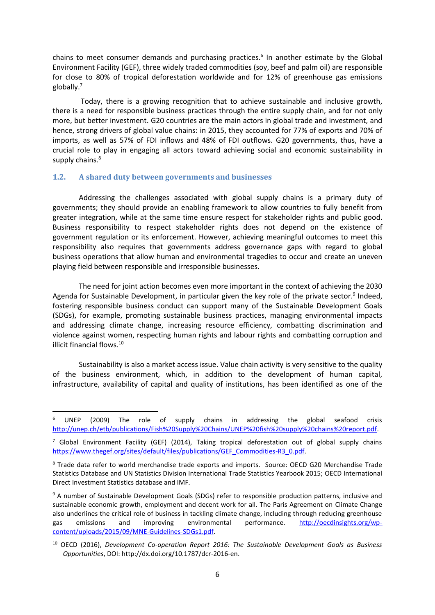chains to meet consumer demands and purchasing practices.<sup>6</sup> In another estimate by the Global Environment Facility (GEF), three widely traded commodities (soy, beef and palm oil) are responsible for close to 80% of tropical deforestation worldwide and for 12% of greenhouse gas emissions globally.<sup>7</sup>

Today, there is a growing recognition that to achieve sustainable and inclusive growth, there is a need for responsible business practices through the entire supply chain, and for not only more, but better investment. G20 countries are the main actors in global trade and investment, and hence, strong drivers of global value chains: in 2015, they accounted for 77% of exports and 70% of imports, as well as 57% of FDI inflows and 48% of FDI outflows. G20 governments, thus, have a crucial role to play in engaging all actors toward achieving social and economic sustainability in supply chains.<sup>8</sup>

### <span id="page-5-0"></span>**1.2. A shared duty between governments and businesses**

1

Addressing the challenges associated with global supply chains is a primary duty of governments; they should provide an enabling framework to allow countries to fully benefit from greater integration, while at the same time ensure respect for stakeholder rights and public good. Business responsibility to respect stakeholder rights does not depend on the existence of government regulation or its enforcement. However, achieving meaningful outcomes to meet this responsibility also requires that governments address governance gaps with regard to global business operations that allow human and environmental tragedies to occur and create an uneven playing field between responsible and irresponsible businesses.

The need for joint action becomes even more important in the context of achieving the 2030 Agenda for Sustainable Development, in particular given the key role of the private sector.<sup>9</sup> Indeed, fostering responsible business conduct can support many of the Sustainable Development Goals (SDGs), for example, promoting sustainable business practices, managing environmental impacts and addressing climate change, increasing resource efficiency, combatting discrimination and violence against women, respecting human rights and labour rights and combatting corruption and illicit financial flows.<sup>10</sup>

Sustainability is also a market access issue. Value chain activity is very sensitive to the quality of the business environment, which, in addition to the development of human capital, infrastructure, availability of capital and quality of institutions, has been identified as one of the

<sup>6</sup> UNEP (2009) The role of supply chains in addressing the global seafood crisis [http://unep.ch/etb/publications/Fish%20Supply%20Chains/UNEP%20fish%20supply%20chains%20report.pdf.](http://unep.ch/etb/publications/Fish%20Supply%20Chains/UNEP%20fish%20supply%20chains%20report.pdf)

 $7$  Global Environment Facility (GEF) (2014), Taking tropical deforestation out of global supply chains [https://www.thegef.org/sites/default/files/publications/GEF\\_Commodities-R3\\_0.pdf.](https://www.thegef.org/sites/default/files/publications/GEF_Commodities-R3_0.pdf)

<sup>8</sup> Trade data refer to world merchandise trade exports and imports. Source: OECD G20 Merchandise Trade Statistics Database and UN Statistics Division International Trade Statistics Yearbook 2015; OECD International Direct Investment Statistics database and IMF.

<sup>&</sup>lt;sup>9</sup> A number of Sustainable Development Goals (SDGs) refer to responsible production patterns, inclusive and sustainable economic growth, employment and decent work for all. The Paris Agreement on Climate Change also underlines the critical role of business in tackling climate change, including through reducing greenhouse gas emissions and improving environmental performance. [http://oecdinsights.org/wp](http://oecdinsights.org/wp-content/uploads/2015/09/MNE-Guidelines-SDGs1.pdf)[content/uploads/2015/09/MNE-Guidelines-SDGs1.pdf.](http://oecdinsights.org/wp-content/uploads/2015/09/MNE-Guidelines-SDGs1.pdf) 

<sup>10</sup> OECD (2016), *Development Co-operation Report 2016: The Sustainable Development Goals as Business Opportunities*, DOI: [http://dx.doi.org/10.1787/dcr-2016-en.](http://dx.doi.org/10.1787/dcr-2016-en)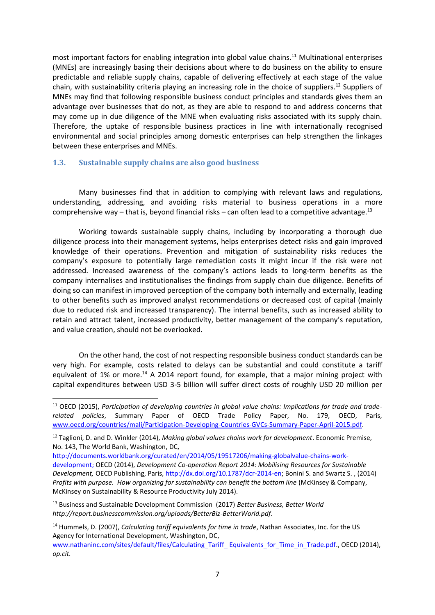most important factors for enabling integration into global value chains.<sup>11</sup> Multinational enterprises (MNEs) are increasingly basing their decisions about where to do business on the ability to ensure predictable and reliable supply chains, capable of delivering effectively at each stage of the value chain, with sustainability criteria playing an increasing role in the choice of suppliers. <sup>12</sup> Suppliers of MNEs may find that following responsible business conduct principles and standards gives them an advantage over businesses that do not, as they are able to respond to and address concerns that may come up in due diligence of the MNE when evaluating risks associated with its supply chain. Therefore, the uptake of responsible business practices in line with internationally recognised environmental and social principles among domestic enterprises can help strengthen the linkages between these enterprises and MNEs.

### <span id="page-6-0"></span>**1.3. Sustainable supply chains are also good business**

1

Many businesses find that in addition to complying with relevant laws and regulations, understanding, addressing, and avoiding risks material to business operations in a more comprehensive way – that is, beyond financial risks – can often lead to a competitive advantage.<sup>13</sup>

Working towards sustainable supply chains, including by incorporating a thorough due diligence process into their management systems, helps enterprises detect risks and gain improved knowledge of their operations. Prevention and mitigation of sustainability risks reduces the company's exposure to potentially large remediation costs it might incur if the risk were not addressed. Increased awareness of the company's actions leads to long-term benefits as the company internalises and institutionalises the findings from supply chain due diligence. Benefits of doing so can manifest in improved perception of the company both internally and externally, leading to other benefits such as improved analyst recommendations or decreased cost of capital (mainly due to reduced risk and increased transparency). The internal benefits, such as increased ability to retain and attract talent, increased productivity, better management of the company's reputation, and value creation, should not be overlooked.

On the other hand, the cost of not respecting responsible business conduct standards can be very high. For example, costs related to delays can be substantial and could constitute a tariff equivalent of 1% or more.<sup>14</sup> A 2014 report found, for example, that a major mining project with capital expenditures between USD 3-5 billion will suffer direct costs of roughly USD 20 million per

<sup>&</sup>lt;sup>11</sup> OECD (2015), Participation of developing countries in global value chains: Implications for trade and trade*related policies*, Summary Paper of OECD Trade Policy Paper, No. 179, OECD, Paris, [www.oecd.org/countries/mali/Participation-Developing-Countries-GVCs-Summary-Paper-April-2015.pdf.](http://www.oecd.org/countries/mali/Participation-Developing-Countries-GVCs-Summary-Paper-April-2015.pdf)

<sup>12</sup> Taglioni, D. and D. Winkler (2014), *Making global values chains work for development*. Economic Premise, No. 143, The World Bank, Washington, DC,

[http://documents.worldbank.org/curated/en/2014/05/19517206/making-globalvalue-chains-work](http://documents.worldbank.org/curated/en/2014/05/19517206/making-globalvalue-chains-work-development)[development;](http://documents.worldbank.org/curated/en/2014/05/19517206/making-globalvalue-chains-work-development) OECD (2014), *Development Co-operation Report 2014: Mobilising Resources for Sustainable Development,* OECD Publishing, Paris, [http://dx.doi.org/10.1787/dcr-2014-en;](http://dx.doi.org/10.1787/dcr-2014-en) Bonini S. and Swartz S. , (2014) *Profits with purpose. How organizing for sustainability can benefit the bottom line* (McKinsey & Company, McKinsey on Sustainability & Resource Productivity July 2014).

<sup>13</sup> Business and Sustainable Development Commission (2017) *Better Business, Better World http://report.businesscommission.org/uploads/BetterBiz-BetterWorld.pdf*.

<sup>14</sup> Hummels, D. (2007), *Calculating tariff equivalents for time in trade*, Nathan Associates, Inc. for the US Agency for International Development, Washington, DC, [www.nathaninc.com/sites/default/files/Calculating\\_Tariff\\_ Equivalents\\_for\\_Time\\_in\\_Trade.pdf.](http://www.nathaninc.com/sites/default/files/Calculating_Tariff_%20Equivalents_for_Time_in_Trade.pdf), OECD (2014), *op.cit.*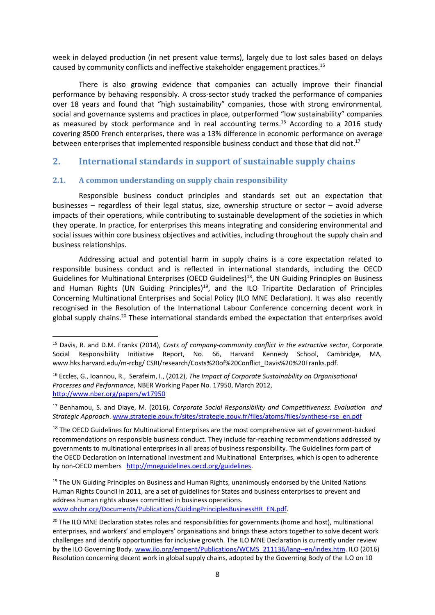week in delayed production (in net present value terms), largely due to lost sales based on delays caused by community conflicts and ineffective stakeholder engagement practices.<sup>15</sup>

There is also growing evidence that companies can actually improve their financial performance by behaving responsibly. A cross-sector study tracked the performance of companies over 18 years and found that "high sustainability" companies, those with strong environmental, social and governance systems and practices in place, outperformed "low sustainability" companies as measured by stock performance and in real accounting terms. <sup>16</sup> According to a 2016 study covering 8500 French enterprises, there was a 13% difference in economic performance on average between enterprises that implemented responsible business conduct and those that did not.<sup>17</sup>

## <span id="page-7-0"></span>**2. International standards in support of sustainable supply chains**

### <span id="page-7-1"></span>**2.1. A common understanding on supply chain responsibility**

**.** 

Responsible business conduct principles and standards set out an expectation that businesses – regardless of their legal status, size, ownership structure or sector – avoid adverse impacts of their operations, while contributing to sustainable development of the societies in which they operate. In practice, for enterprises this means integrating and considering environmental and social issues within core business objectives and activities, including throughout the supply chain and business relationships.

Addressing actual and potential harm in supply chains is a core expectation related to responsible business conduct and is reflected in international standards, including the OECD Guidelines for Multinational Enterprises (OECD Guidelines)<sup>18</sup>, the UN Guiding Principles on Business and Human Rights (UN Guiding Principles)<sup>19</sup>, and the ILO Tripartite Declaration of Principles Concerning Multinational Enterprises and Social Policy (ILO MNE Declaration). It was also recently recognised in the Resolution of the International Labour Conference concerning decent work in global supply chains.<sup>20</sup> These international standards embed the expectation that enterprises avoid

<sup>19</sup> The UN Guiding Principles on Business and Human Rights, unanimously endorsed by the United Nations Human Rights Council in 2011, are a set of guidelines for States and business enterprises to prevent and address human rights abuses committed in business operations.

<sup>15</sup> Davis, R. and D.M. Franks (2014), *Costs of company-community conflict in the extractive sector*, Corporate Social Responsibility Initiative Report, No. 66, Harvard Kennedy School, Cambridge, MA, www.hks.harvard.edu/m-rcbg/ CSRI/research/Costs%20of%20Conflict\_Davis%20%20Franks.pdf.

<sup>16</sup> Eccles, G., Ioannou, R., Serafeim, I., (2012), *The Impact of Corporate Sustainability on Organisational Processes and Performance*, NBER Working Paper No. 17950, March 2012, <http://www.nber.org/papers/w17950>

<sup>17</sup> Benhamou, S. and Diaye, M. (2016), *Corporate Social Responsibility and Competitiveness. Evaluation and Strategic Approach*[. www.strategie.gouv.fr/sites/strategie.gouv.fr/files/atoms/files/synthese-rse\\_en.pdf](http://www.strategie.gouv.fr/sites/strategie.gouv.fr/files/atoms/files/synthese-rse_en.pdf)

<sup>&</sup>lt;sup>18</sup> The OECD Guidelines for Multinational Enterprises are the most comprehensive set of government-backed recommendations on responsible business conduct. They include far-reaching recommendations addressed by governments to multinational enterprises in all areas of business responsibility. The Guidelines form part of the OECD Declaration on International Investment and Multinational Enterprises, which is open to adherence by non-OECD members [http://mneguidelines.oecd.org/guidelines.](http://mneguidelines.oecd.org/guidelines)

[www.ohchr.org/Documents/Publications/GuidingPrinciplesBusinessHR\\_EN.pdf.](http://www.ohchr.org/Documents/Publications/GuidingPrinciplesBusinessHR_EN.pdf)

<sup>&</sup>lt;sup>20</sup> The ILO MNE Declaration states roles and responsibilities for governments (home and host), multinational enterprises, and workers' and employers' organisations and brings these actors together to solve decent work challenges and identify opportunities for inclusive growth. The ILO MNE Declaration is currently under review by the ILO Governing Body. [www.ilo.org/empent/Publications/WCMS\\_211136/lang--en/index.htm.](http://www.ilo.org/empent/Publications/WCMS_211136/lang--en/index.htm) ILO (2016) Resolution concerning decent work in global supply chains, adopted by the Governing Body of the ILO on 10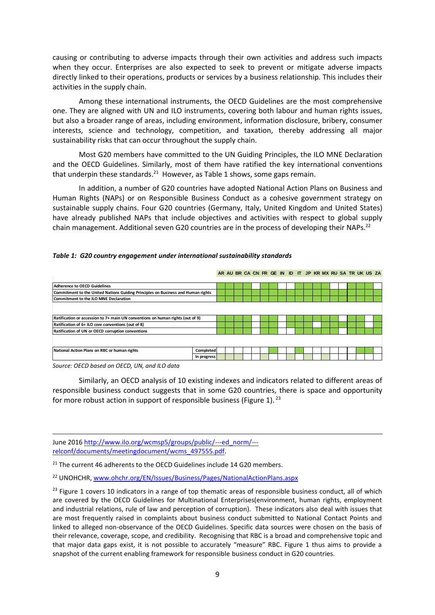causing or contributing to adverse impacts through their own activities and address such impacts when they occur. Enterprises are also expected to seek to prevent or mitigate adverse impacts directly linked to their operations, products or services by a business relationship. This includes their activities in the supply chain.

Among these international instruments, the OECD Guidelines are the most comprehensive one. They are aligned with UN and ILO instruments, covering both labour and human rights issues, but also a broader range of areas, including environment, information disclosure, bribery, consumer interests, science and technology, competition, and taxation, thereby addressing all major sustainability risks that can occur throughout the supply chain.

Most G20 members have committed to the UN Guiding Principles, the ILO MNE Declaration and the OECD Guidelines. Similarly, most of them have ratified the key international conventions that underpin these standards.<sup>21</sup> However, as Table 1 shows, some gaps remain.

In addition, a number of G20 countries have adopted National Action Plans on Business and Human Rights (NAPs) or on Responsible Business Conduct as a cohesive government strategy on sustainable supply chains. Four G20 countries (Germany, Italy, United Kingdom and United States) have already published NAPs that include objectives and activities with respect to global supply chain management. Additional seven G20 countries are in the process of developing their NAPs.<sup>22</sup>

|  |  |  |  |  | Table 1: G20 country engagement under international sustainability standards |  |
|--|--|--|--|--|------------------------------------------------------------------------------|--|
|--|--|--|--|--|------------------------------------------------------------------------------|--|

| Table 1: G20 country engagement under international sustainability standards     |             |  |  |  |  |  |  |  |  |  |  |  |  |  |                                                          |  |  |
|----------------------------------------------------------------------------------|-------------|--|--|--|--|--|--|--|--|--|--|--|--|--|----------------------------------------------------------|--|--|
|                                                                                  |             |  |  |  |  |  |  |  |  |  |  |  |  |  | AR AU BR CA CN FR GE IN ID IT JP KR MX RU SA TR UK US ZA |  |  |
| Adherence to OECD Guidelines                                                     |             |  |  |  |  |  |  |  |  |  |  |  |  |  |                                                          |  |  |
| Commitment to the United Nations Guiding Principles on Business and Human rights |             |  |  |  |  |  |  |  |  |  |  |  |  |  |                                                          |  |  |
| Commitment to the ILO MNE Declaration                                            |             |  |  |  |  |  |  |  |  |  |  |  |  |  |                                                          |  |  |
|                                                                                  |             |  |  |  |  |  |  |  |  |  |  |  |  |  |                                                          |  |  |
| Ratification or accession to 7+ main UN conventions on human rights (out of 9)   |             |  |  |  |  |  |  |  |  |  |  |  |  |  |                                                          |  |  |
| Ratification of 6+ ILO core conventions (out of 8)                               |             |  |  |  |  |  |  |  |  |  |  |  |  |  |                                                          |  |  |
| Ratification of UN or OECD corruption conventions                                |             |  |  |  |  |  |  |  |  |  |  |  |  |  |                                                          |  |  |
|                                                                                  |             |  |  |  |  |  |  |  |  |  |  |  |  |  |                                                          |  |  |
| National Action Plans on RBC or human rights                                     | Completed   |  |  |  |  |  |  |  |  |  |  |  |  |  |                                                          |  |  |
|                                                                                  | In progress |  |  |  |  |  |  |  |  |  |  |  |  |  |                                                          |  |  |

*Source: OECD based on OECD, UN, and ILO data*

1

Similarly, an OECD analysis of 10 existing indexes and indicators related to different areas of responsible business conduct suggests that in some G20 countries, there is space and opportunity for more robust action in support of responsible business (Figure 1).  $23$ 

June 201[6 http://www.ilo.org/wcmsp5/groups/public/---ed\\_norm/--](http://www.ilo.org/wcmsp5/groups/public/---ed_norm/---relconf/documents/meetingdocument/wcms_497555.pdf) [relconf/documents/meetingdocument/wcms\\_497555.pdf.](http://www.ilo.org/wcmsp5/groups/public/---ed_norm/---relconf/documents/meetingdocument/wcms_497555.pdf)

<sup>21</sup> The current 46 adherents to the OECD Guidelines include 14 G20 members.

<sup>22</sup> UNOHCHR, [www.ohchr.org/EN/Issues/Business/Pages/NationalActionPlans.aspx](http://www.ohchr.org/EN/Issues/Business/Pages/NationalActionPlans.aspx)

<sup>&</sup>lt;sup>23</sup> Figure 1 covers 10 indicators in a range of top thematic areas of responsible business conduct, all of which are covered by the OECD Guidelines for Multinational Enterprises(environment, human rights, employment and industrial relations, rule of law and perception of corruption). These indicators also deal with issues that are most frequently raised in complaints about business conduct submitted to National Contact Points and linked to alleged non-observance of the OECD Guidelines. Specific data sources were chosen on the basis of their relevance, coverage, scope, and credibility. Recognising that RBC is a broad and comprehensive topic and that major data gaps exist, it is not possible to accurately "measure" RBC. Figure 1 thus aims to provide a snapshot of the current enabling framework for responsible business conduct in G20 countries.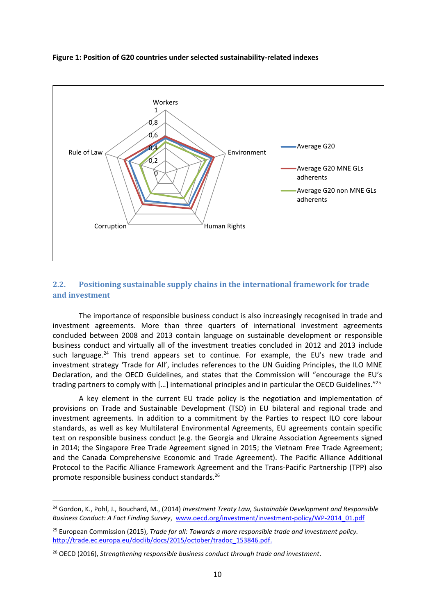



### <span id="page-9-0"></span>**2.2. Positioning sustainable supply chains in the international framework for trade and investment**

The importance of responsible business conduct is also increasingly recognised in trade and investment agreements. More than three quarters of international investment agreements concluded between 2008 and 2013 contain language on sustainable development or responsible business conduct and virtually all of the investment treaties concluded in 2012 and 2013 include such language.<sup>24</sup> This trend appears set to continue. For example, the EU's new trade and investment strategy 'Trade for All', includes references to the UN Guiding Principles, the ILO MNE Declaration, and the OECD Guidelines, and states that the Commission will "encourage the EU's trading partners to comply with […] international principles and in particular the OECD Guidelines."<sup>25</sup>

A key element in the current EU trade policy is the negotiation and implementation of provisions on Trade and Sustainable Development (TSD) in EU bilateral and regional trade and investment agreements. In addition to a commitment by the Parties to respect ILO core labour standards, as well as key Multilateral Environmental Agreements, EU agreements contain specific text on responsible business conduct (e.g. the Georgia and Ukraine Association Agreements signed in 2014; the Singapore Free Trade Agreement signed in 2015; the Vietnam Free Trade Agreement; and the Canada Comprehensive Economic and Trade Agreement). The Pacific Alliance Additional Protocol to the Pacific Alliance Framework Agreement and the Trans-Pacific Partnership (TPP) also promote responsible business conduct standards.<sup>26</sup>

 $\overline{a}$ 

<sup>24</sup> Gordon, K., Pohl, J., Bouchard, M., (2014) *Investment Treaty Law, Sustainable Development and Responsible Business Conduct: A Fact Finding Survey*, [www.oecd.org/investment/investment-policy/WP-2014\\_01.pdf](http://www.oecd.org/investment/investment-policy/WP-2014_01.pdf)

<sup>25</sup> European Commission (2015), *Trade for all: Towards a more responsible trade and investment policy.*  [http://trade.ec.europa.eu/doclib/docs/2015/october/tradoc\\_153846.pdf.](http://trade.ec.europa.eu/doclib/docs/2015/october/tradoc_153846.pdf)

<sup>26</sup> OECD (2016), *Strengthening responsible business conduct through trade and investment.*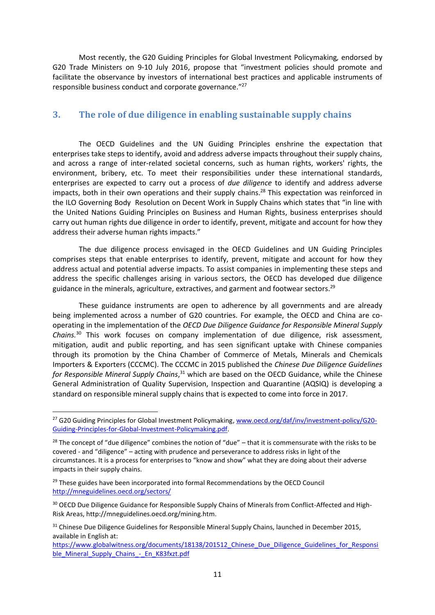Most recently, the [G20 Guiding Principles for Global Investment Policymaking](http://www.oecd.org/daf/inv/investment-policy/G20-Guiding-Principles-for-Global-Investment-Policymaking.pdf)*,* endorsed by G20 Trade Ministers on 9-10 July 2016, propose that "investment policies should promote and facilitate the observance by investors of international best practices and applicable instruments of responsible business conduct and corporate governance."<sup>27</sup>

### <span id="page-10-0"></span>**3. The role of due diligence in enabling sustainable supply chains**

The OECD Guidelines and the UN Guiding Principles enshrine the expectation that enterprises take steps to identify, avoid and address adverse impacts throughout their supply chains, and across a range of inter-related societal concerns, such as human rights, workers' rights, the environment, bribery, etc. To meet their responsibilities under these international standards, enterprises are expected to carry out a process of *due diligence* to identify and address adverse impacts, both in their own operations and their supply chains.<sup>28</sup> This expectation was reinforced in the ILO Governing Body Resolution on Decent Work in Supply Chains which states that "in line with the United Nations Guiding Principles on Business and Human Rights, business enterprises should carry out human rights due diligence in order to identify, prevent, mitigate and account for how they address their adverse human rights impacts."

The due diligence process envisaged in the OECD Guidelines and UN Guiding Principles comprises steps that enable enterprises to identify, prevent, mitigate and account for how they address actual and potential adverse impacts. To assist companies in implementing these steps and address the specific challenges arising in various sectors, the OECD has developed due diligence guidance in the minerals, agriculture, extractives, and garment and footwear sectors.<sup>29</sup>

These guidance instruments are open to adherence by all governments and are already being implemented across a number of G20 countries. For example, the OECD and China are cooperating in the implementation of the *OECD Due Diligence Guidance for Responsible Mineral Supply Chains.* <sup>30</sup> This work focuses on company implementation of due diligence, risk assessment, mitigation, audit and public reporting, and has seen significant uptake with Chinese companies through its promotion by the China Chamber of Commerce of Metals, Minerals and Chemicals Importers & Exporters [\(CCCMC\)](http://en.cccmc.org.cn/news/cccmcinformation/41161.htm). The CCCMC in 2015 published the *Chinese Due Diligence Guidelines*  for Responsible Mineral Supply Chains,<sup>31</sup> which are based on the OECD Guidance, while the Chinese General Administration of Quality Supervision, Inspection and Quarantine (AQSIQ) is developing a standard on responsible mineral supply chains that is expected to come into force in 2017.

**.** 

<sup>&</sup>lt;sup>27</sup> [G20 Guiding Principles for Global Investment Policymaking, www.oecd.org/daf/inv/investment-policy/G20-](http://www.oecd.org/daf/inv/investment-policy/G20-Guiding-Principles-for-Global-Investment-Policymaking.pdf) [Guiding-Principles-for-Global-Investment-Policymaking.pdf.](http://www.oecd.org/daf/inv/investment-policy/G20-Guiding-Principles-for-Global-Investment-Policymaking.pdf) 

 $28$  The concept of "due diligence" combines the notion of "due" – that it is commensurate with the risks to be covered - and "diligence" – acting with prudence and perseverance to address risks in light of the circumstances. It is a process for enterprises to "know and show" what they are doing about their adverse impacts in their supply chains.

<sup>&</sup>lt;sup>29</sup> These guides have been incorporated into formal Recommendations by the OECD Council <http://mneguidelines.oecd.org/sectors/>

<sup>&</sup>lt;sup>30</sup> OECD Due Diligence Guidance for Responsible Supply Chains of Minerals from Conflict-Affected and High-Risk Areas, http://mneguidelines.oecd.org/mining.htm.

<sup>&</sup>lt;sup>31</sup> Chinese Due Diligence Guidelines for Responsible Mineral Supply Chains, launched in December 2015, available in English at:

https://www.globalwitness.org/documents/18138/201512 Chinese Due Diligence Guidelines for Responsi ble Mineral Supply Chains - En K83fxzt.pdf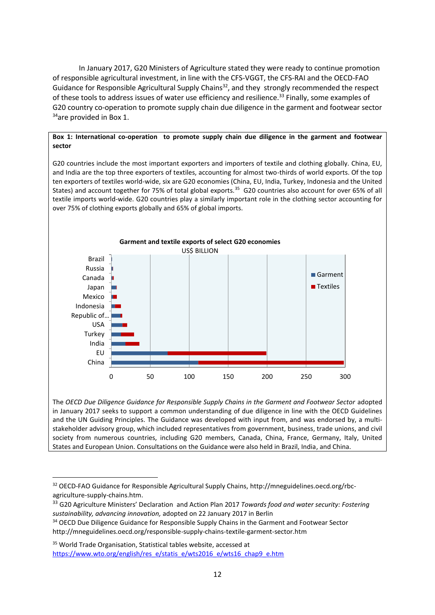In January 2017, G20 Ministers of Agriculture stated they were ready to continue promotion of responsible agricultural investment, in line with the CFS-VGGT, the CFS-RAI and the OECD-FAO Guidance for Responsible Agricultural Supply Chains<sup>32</sup>, and they strongly recommended the respect of these tools to address issues of water use efficiency and resilience.<sup>33</sup> Finally, some examples of G20 country co-operation to promote supply chain due diligence in the garment and footwear sector <sup>34</sup>are provided in Box 1.

### **Box 1: International co-operation to promote supply chain due diligence in the garment and footwear sector**

G20 countries include the most important exporters and importers of textile and clothing globally. China, EU, and India are the top three exporters of textiles, accounting for almost two-thirds of world exports. Of the top ten exporters of textiles world-wide, six are G20 economies (China, EU, India, Turkey, Indonesia and the United States) and account together for 75% of total global exports.<sup>35</sup> G20 countries also account for over 65% of all textile imports world-wide. G20 countries play a similarly important role in the clothing sector accounting for over 75% of clothing exports globally and 65% of global imports.



The *OECD Due Diligence Guidance for Responsible Supply Chains in the Garment and Footwear Sector* adopted in January 2017 seeks to support a common understanding of due diligence in line with the OECD Guidelines and the UN Guiding Principles. The Guidance was developed with input from, and was endorsed by, a multistakeholder advisory group, which included representatives from government, business, trade unions, and civil society from numerous countries, including G20 members, Canada, China, France, Germany, Italy, United States and European Union. Consultations on the Guidance were also held in Brazil, India, and China.

 $\overline{a}$ 

<sup>&</sup>lt;sup>32</sup> OECD-FAO Guidance for Responsible Agricultural Supply Chains, http://mneguidelines.oecd.org/rbcagriculture-supply-chains.htm.

<sup>33</sup> G20 Agriculture Ministers' Declaration and Action Plan 2017 *Towards food and water security: Fostering sustainability, advancing innovation,* adopted on 22 January 2017 in Berlin

<sup>&</sup>lt;sup>34</sup> OECD Due Diligence Guidance for Responsible Supply Chains in the Garment and Footwear Sector http://mneguidelines.oecd.org/responsible-supply-chains-textile-garment-sector.htm

<sup>&</sup>lt;sup>35</sup> World Trade Organisation, Statistical tables website, accessed at [https://www.wto.org/english/res\\_e/statis\\_e/wts2016\\_e/wts16\\_chap9\\_e.htm](https://www.wto.org/english/res_e/statis_e/wts2016_e/wts16_chap9_e.htm)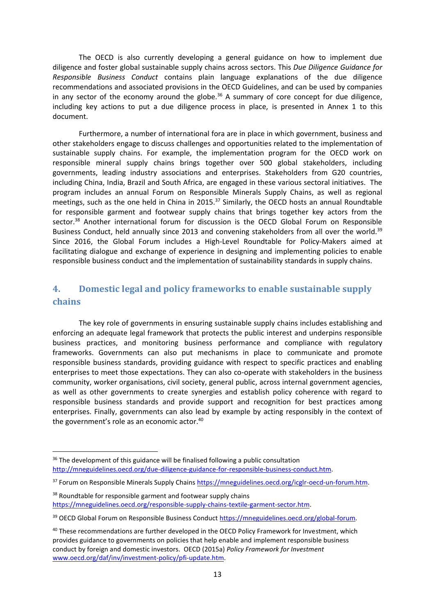The OECD is also currently developing a general guidance on how to implement due diligence and foster global sustainable supply chains across sectors. This *Due Diligence Guidance for Responsible Business Conduct* contains plain language explanations of the due diligence recommendations and associated provisions in the OECD Guidelines, and can be used by companies in any sector of the economy around the globe. $36$  A summary of core concept for due diligence, including key actions to put a due diligence process in place, is presented in Annex 1 to this document.

Furthermore, a number of international fora are in place in which government, business and other stakeholders engage to discuss challenges and opportunities related to the implementation of sustainable supply chains. For example, the implementation program for the OECD work on responsible mineral supply chains brings together over 500 global stakeholders, including governments, leading industry associations and enterprises. Stakeholders from G20 countries, including China, India, Brazil and South Africa, are engaged in these various sectoral initiatives. The program includes an annual Forum on Responsible Minerals Supply Chains, as well as regional meetings, such as the one held in China in 2015.<sup>37</sup> Similarly, the OECD hosts an annual Roundtable for responsible garment and footwear supply chains that brings together key actors from the sector.<sup>38</sup> Another international forum for discussion is the OECD Global Forum on Responsible Business Conduct, held annually since 2013 and convening stakeholders from all over the world.<sup>39</sup> Since 2016, the Global Forum includes a High-Level Roundtable for Policy-Makers aimed at facilitating dialogue and exchange of experience in designing and implementing policies to enable responsible business conduct and the implementation of sustainability standards in supply chains.

# <span id="page-12-0"></span>**4. Domestic legal and policy frameworks to enable sustainable supply chains**

The key role of governments in ensuring sustainable supply chains includes establishing and enforcing an adequate legal framework that protects the public interest and underpins responsible business practices, and monitoring business performance and compliance with regulatory frameworks. Governments can also put mechanisms in place to communicate and promote responsible business standards, providing guidance with respect to specific practices and enabling enterprises to meet those expectations. They can also co-operate with stakeholders in the business community, worker organisations, civil society, general public, across internal government agencies, as well as other governments to create synergies and establish policy coherence with regard to responsible business standards and provide support and recognition for best practices among enterprises. Finally, governments can also lead by example by acting responsibly in the context of the government's role as an economic actor.<sup>40</sup>

**.** 

 $36$  The development of this guidance will be finalised following a public consultation [http://mneguidelines.oecd.org/due-diligence-guidance-for-responsible-business-conduct.htm.](http://mneguidelines.oecd.org/due-diligence-guidance-for-responsible-business-conduct.htm)

<sup>&</sup>lt;sup>37</sup> Forum on Responsible Minerals Supply Chains [https://mneguidelines.oecd.org/icglr-oecd-un-forum.htm.](https://mneguidelines.oecd.org/icglr-oecd-un-forum.htm)

<sup>&</sup>lt;sup>38</sup> Roundtable for responsible garment and footwear supply chains [https://mneguidelines.oecd.org/responsible-supply-chains-textile-garment-sector.htm.](https://mneguidelines.oecd.org/responsible-supply-chains-textile-garment-sector.htm)

<sup>&</sup>lt;sup>39</sup> OECD Global Forum on Responsible Business Conduct https://mneguidelines.oecd.org/global-forum.

<sup>&</sup>lt;sup>40</sup> These recommendations are further developed in the OECD Policy Framework for Investment, which provides guidance to governments on policies that help enable and implement responsible business conduct by foreign and domestic investors. OECD (2015a) *Policy Framework for Investment* [www.oecd.org/daf/inv/investment-policy/pfi-update.htm.](http://www.oecd.org/daf/inv/investment-policy/pfi-update.htm)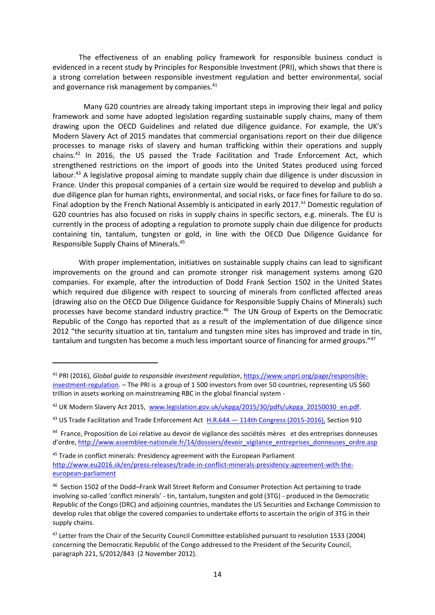The effectiveness of an enabling policy framework for responsible business conduct is evidenced in a recent study by Principles for Responsible Investment (PRI), which shows that there is a strong correlation between responsible investment regulation and better environmental, social and governance risk management by companies.<sup>41</sup>

Many G20 countries are already taking important steps in improving their legal and policy framework and some have adopted legislation regarding sustainable supply chains, many of them drawing upon the OECD Guidelines and related due diligence guidance. For example, the UK's Modern Slavery Act of 2015 mandates that commercial organisations report on their due diligence processes to manage risks of slavery and human trafficking within their operations and supply chains.<sup>42</sup> In 2016, the US passed the Trade Facilitation and Trade Enforcement Act, which strengthened restrictions on the import of goods into the United States produced using forced labour.<sup>43</sup> A legislative proposal aiming to mandate supply chain due diligence is under discussion in France. Under this proposal companies of a certain size would be required to develop and publish a due diligence plan for human rights, environmental, and social risks, or face fines for failure to do so. Final adoption by the French National Assembly is anticipated in early 2017.<sup>44</sup> Domestic regulation of G20 countries has also focused on risks in supply chains in specific sectors, e.g. minerals. The EU is currently in the process of adopting a regulation to promote supply chain due diligence for products containing tin, tantalum, tungsten or gold, in line with the OECD Due Diligence Guidance for Responsible Supply Chains of Minerals. 45

With proper implementation, initiatives on sustainable supply chains can lead to significant improvements on the ground and can promote stronger risk management systems among G20 companies. For example, after the introduction of Dodd Frank Section 1502 in the United States which required due diligence with respect to sourcing of minerals from conflicted affected areas (drawing also on the OECD Due Diligence Guidance for Responsible Supply Chains of Minerals) such processes have become standard industry practice.<sup>46</sup> The UN Group of Experts on the Democratic Republic of the Congo has reported that as a result of the implementation of due diligence since 2012 "the security situation at tin, tantalum and tungsten mine sites has improved and trade in tin, tantalum and tungsten has become a much less important source of financing for armed groups."<sup>47</sup>

1

<sup>41</sup> PRI (2016), *Global guide to responsible investment regulation*[, https://www.unpri.org/page/responsible](https://www.unpri.org/page/responsible-investment-regulation)[investment-regulation.](https://www.unpri.org/page/responsible-investment-regulation) – The PRI is a group of 1 500 investors from over 50 countries, representing US \$60 trillion in assets working on mainstreaming RBC in the global financial system -

<sup>42</sup> UK Modern Slavery Act 2015, [www.legislation.gov.uk/ukpga/2015/30/pdfs/ukpga\\_20150030\\_en.pdf.](http://www.legislation.gov.uk/ukpga/2015/30/pdfs/ukpga_20150030_en.pdf)

<sup>&</sup>lt;sup>43</sup> US Trade Facilitation and Trade Enforcement Act H.R.644 – [114th Congress \(2015-2016\),](https://www.congress.gov/bill/114th-congress/house-bill/644/text) Section 910

<sup>44</sup> France, Proposition de Loi relative au devoir de vigilance des sociétés mères et des entreprises donneuses d'ordre, http://www.assemblee-nationale.fr/14/dossiers/devoir\_vigilance\_entreprises\_donneuses\_ordre.asp

<sup>&</sup>lt;sup>45</sup> Trade in conflict minerals: Presidency agreement with the European Parliament [http://www.eu2016.sk/en/press-releases/trade-in-conflict-minerals-presidency-agreement-with-the](http://www.eu2016.sk/en/press-releases/trade-in-conflict-minerals-presidency-agreement-with-the-european-parliament)[european-parliament](http://www.eu2016.sk/en/press-releases/trade-in-conflict-minerals-presidency-agreement-with-the-european-parliament)

<sup>&</sup>lt;sup>46</sup> Section 1502 of the Dodd-Frank Wall Street Reform and Consumer Protection Act pertaining to trade involving so-called 'conflict minerals' - tin, tantalum, tungsten and gold (3TG) - produced in the Democratic Republic of the Congo (DRC) and adjoining countries, mandates the US Securities and Exchange Commission to develop rules that oblige the covered companies to undertake efforts to ascertain the origin of 3TG in their supply chains.

<sup>&</sup>lt;sup>47</sup> Letter from the Chair of the Security Council Committee established pursuant to resolution 1533 (2004) concerning the Democratic Republic of the Congo addressed to the President of the Security Council, paragraph 221, S/2012/843 (2 November 2012).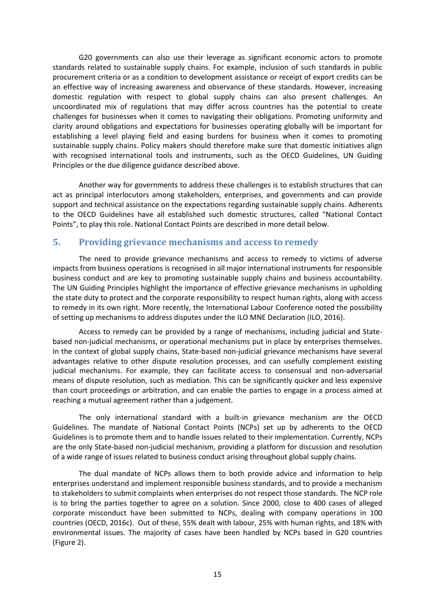G20 governments can also use their leverage as significant economic actors to promote standards related to sustainable supply chains. For example, inclusion of such standards in public procurement criteria or as a condition to development assistance or receipt of export credits can be an effective way of increasing awareness and observance of these standards. However, increasing domestic regulation with respect to global supply chains can also present challenges. An uncoordinated mix of regulations that may differ across countries has the potential to create challenges for businesses when it comes to navigating their obligations. Promoting uniformity and clarity around obligations and expectations for businesses operating globally will be important for establishing a level playing field and easing burdens for business when it comes to promoting sustainable supply chains. Policy makers should therefore make sure that domestic initiatives align with recognised international tools and instruments, such as the OECD Guidelines, UN Guiding Principles or the due diligence guidance described above.

Another way for governments to address these challenges is to establish structures that can act as principal interlocutors among stakeholders, enterprises, and governments and can provide support and technical assistance on the expectations regarding sustainable supply chains. Adherents to the OECD Guidelines have all established such domestic structures, called "National Contact Points", to play this role. National Contact Points are described in more detail below.

### <span id="page-14-0"></span>**5. Providing grievance mechanisms and access to remedy**

The need to provide grievance mechanisms and access to remedy to victims of adverse impacts from business operations is recognised in all major international instruments for responsible business conduct and are key to promoting sustainable supply chains and business accountability. The UN Guiding Principles highlight the importance of effective grievance mechanisms in upholding the state duty to protect and the corporate responsibility to respect human rights, along with access to remedy in its own right. More recently, the International Labour Conference noted the possibility of setting up mechanisms to address disputes under the ILO MNE Declaration (ILO, 2016).

Access to remedy can be provided by a range of mechanisms, including judicial and Statebased non-judicial mechanisms, or operational mechanisms put in place by enterprises themselves. In the context of global supply chains, State-based non-judicial grievance mechanisms have several advantages relative to other dispute resolution processes, and can usefully complement existing judicial mechanisms. For example, they can facilitate access to consensual and non-adversarial means of dispute resolution, such as mediation. This can be significantly quicker and less expensive than court proceedings or arbitration, and can enable the parties to engage in a process aimed at reaching a mutual agreement rather than a judgement.

The only international standard with a built-in grievance mechanism are the OECD Guidelines. The mandate of National Contact Points (NCPs) set up by adherents to the OECD Guidelines is to promote them and to handle issues related to their implementation. Currently, NCPs are the only State-based non-judicial mechanism, providing a platform for discussion and resolution of a wide range of issues related to business conduct arising throughout global supply chains.

The dual mandate of NCPs allows them to both provide advice and information to help enterprises understand and implement responsible business standards, and to provide a mechanism to stakeholders to submit complaints when enterprises do not respect those standards. The NCP role is to bring the parties together to agree on a solution. Since 2000, close to 400 cases of alleged corporate misconduct have been submitted to NCPs, dealing with company operations in 100 countries (OECD, 2016c). Out of these, 55% dealt with labour, 25% with human rights, and 18% with environmental issues. The majority of cases have been handled by NCPs based in G20 countries (Figure 2).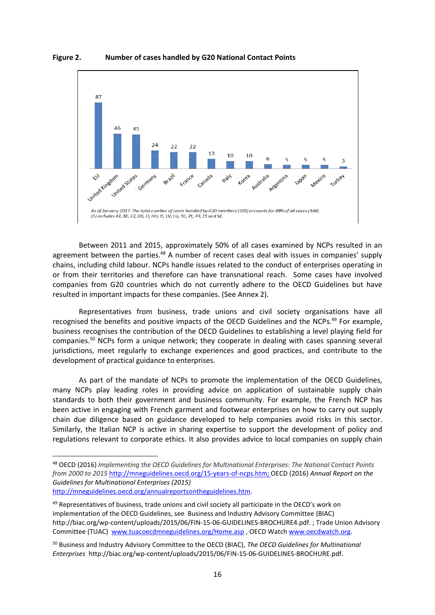

**Figure 2. Number of cases handled by G20 National Contact Points** 

Between 2011 and 2015, approximately 50% of all cases examined by NCPs resulted in an agreement between the parties.<sup>48</sup> A number of recent cases deal with issues in companies' supply chains, including child labour. NCPs handle issues related to the conduct of enterprises operating in or from their territories and therefore can have transnational reach. Some cases have involved companies from G20 countries which do not currently adhere to the OECD Guidelines but have resulted in important impacts for these companies. (See Annex 2).

Representatives from business, trade unions and civil society organisations have all recognised the benefits and positive impacts of the OECD Guidelines and the NCPs.<sup>49</sup> For example, business recognises the contribution of the OECD Guidelines to establishing a level playing field for companies. <sup>50</sup> NCPs form a unique network; they cooperate in dealing with cases spanning several jurisdictions, meet regularly to exchange experiences and good practices, and contribute to the development of practical guidance to enterprises.

As part of the mandate of NCPs to promote the implementation of the OECD Guidelines, many NCPs play leading roles in providing advice on application of sustainable supply chain standards to both their government and business community. For example, the French NCP has been active in engaging with French garment and footwear enterprises on how to carry out supply chain due diligence based on guidance developed to help companies avoid risks in this sector. Similarly, the Italian NCP is active in sharing expertise to support the development of policy and regulations relevant to corporate ethics. It also provides advice to local companies on supply chain

**.** 

<sup>48</sup> OECD (2016) *Implementing the OECD Guidelines for Multinational Enterprises: The National Contact Points from 2000 to 2015* [http://mneguidelines.oecd.org/15-years-of-ncps.htm;](http://mneguidelines.oecd.org/15-years-of-ncps.htm) OECD (2016) *Annual Report on the Guidelines for Multinational Enterprises (2015)*

[http://mneguidelines.oecd.org/annualreportsontheguidelines.htm.](http://mneguidelines.oecd.org/annualreportsontheguidelines.htm)

<sup>&</sup>lt;sup>49</sup> Representatives of business, trade unions and civil society all participate in the OECD's work on implementation of the OECD Guidelines, see Business and Industry Advisory Committee (BIAC) http://biac.org/wp-content/uploads/2015/06/FIN-15-06-GUIDELINES-BROCHURE4.pdf. ; Trade Union Advisory Committee (TUAC) [www.tuacoecdmneguidelines.org/Home.asp](http://www.tuacoecdmneguidelines.org/Home.asp) , OECD Watc[h www.oecdwatch.org.](http://www.oecdwatch.org/)

<sup>50</sup> Business and Industry Advisory Committee to the OECD (BIAC), *The OECD Guidelines for Multinational Enterprises* http://biac.org/wp-content/uploads/2015/06/FIN-15-06-GUIDELINES-BROCHURE.pdf.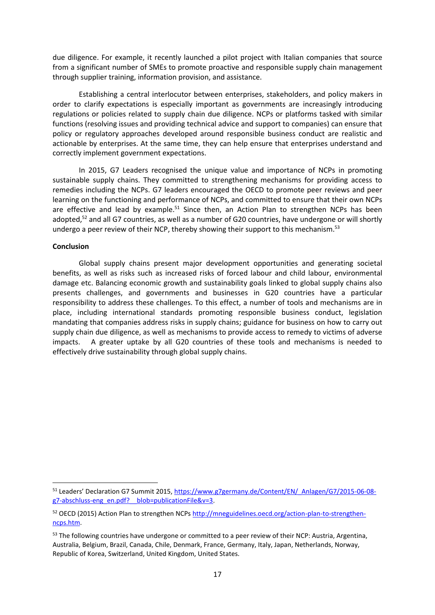due diligence. For example, it recently launched a pilot project with Italian companies that source from a significant number of SMEs to promote proactive and responsible supply chain management through supplier training, information provision, and assistance.

Establishing a central interlocutor between enterprises, stakeholders, and policy makers in order to clarify expectations is especially important as governments are increasingly introducing regulations or policies related to supply chain due diligence. NCPs or platforms tasked with similar functions (resolving issues and providing technical advice and support to companies) can ensure that policy or regulatory approaches developed around responsible business conduct are realistic and actionable by enterprises. At the same time, they can help ensure that enterprises understand and correctly implement government expectations.

In 2015, G7 Leaders recognised the unique value and importance of NCPs in promoting sustainable supply chains. They committed to strengthening mechanisms for providing access to remedies including the NCPs. G7 leaders encouraged the OECD to promote peer reviews and peer learning on the functioning and performance of NCPs, and committed to ensure that their own NCPs are effective and lead by example.<sup>51</sup> Since then, an Action Plan to strengthen NCPs has been adopted,<sup>52</sup> and all G7 countries, as well as a number of G20 countries, have undergone or will shortly undergo a peer review of their NCP, thereby showing their support to this mechanism.<sup>53</sup>

### **Conclusion**

 $\overline{a}$ 

Global supply chains present major development opportunities and generating societal benefits, as well as risks such as increased risks of forced labour and child labour, environmental damage etc. Balancing economic growth and sustainability goals linked to global supply chains also presents challenges, and governments and businesses in G20 countries have a particular responsibility to address these challenges. To this effect, a number of tools and mechanisms are in place, including international standards promoting responsible business conduct, legislation mandating that companies address risks in supply chains; guidance for business on how to carry out supply chain due diligence, as well as mechanisms to provide access to remedy to victims of adverse impacts. A greater uptake by all G20 countries of these tools and mechanisms is needed to effectively drive sustainability through global supply chains.

<sup>51</sup> Leaders' Declaration G7 Summit 2015, [https://www.g7germany.de/Content/EN/\\_Anlagen/G7/2015-06-08](https://www.g7germany.de/Content/EN/_Anlagen/G7/2015-06-08-g7-abschluss-eng_en.pdf?__blob=publicationFile&v=3) [g7-abschluss-eng\\_en.pdf?\\_\\_blob=publicationFile&v=3.](https://www.g7germany.de/Content/EN/_Anlagen/G7/2015-06-08-g7-abschluss-eng_en.pdf?__blob=publicationFile&v=3)

<sup>52</sup> OECD (2015) Action Plan to strengthen NCP[s http://mneguidelines.oecd.org/action-plan-to-strengthen](http://mneguidelines.oecd.org/action-plan-to-strengthen-ncps.htm)[ncps.htm.](http://mneguidelines.oecd.org/action-plan-to-strengthen-ncps.htm)

<sup>53</sup> The following countries have undergone or committed to a peer review of their NCP: Austria, Argentina, Australia, Belgium, Brazil, Canada, Chile, Denmark, France, Germany, Italy, Japan, Netherlands, Norway, Republic of Korea, Switzerland, United Kingdom, United States.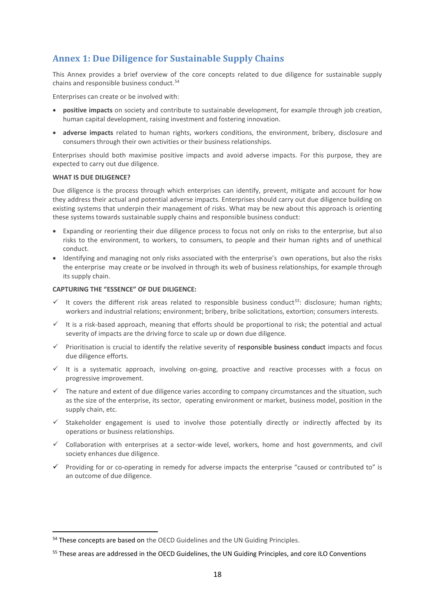# <span id="page-17-0"></span>**Annex 1: Due Diligence for Sustainable Supply Chains**

This Annex provides a brief overview of the core concepts related to due diligence for sustainable supply chains and responsible business conduct.<sup>54</sup>

Enterprises can create or be involved with:

- **positive impacts** on society and contribute to sustainable development, for example through job creation, human capital development, raising investment and fostering innovation.
- **adverse impacts** related to human rights, workers conditions, the environment, bribery, disclosure and consumers through their own activities or their business relationships.

Enterprises should both maximise positive impacts and avoid adverse impacts. For this purpose, they are expected to carry out due diligence.

#### **WHAT IS DUE DILIGENCE?**

**.** 

Due diligence is the process through which enterprises can identify, prevent, mitigate and account for how they address their actual and potential adverse impacts. Enterprises should carry out due diligence building on existing systems that underpin their management of risks. What may be new about this approach is orienting these systems towards sustainable supply chains and responsible business conduct:

- Expanding or reorienting their due diligence process to focus not only on risks to the enterprise, but also risks to the environment, to workers, to consumers, to people and their human rights and of unethical conduct.
- Identifying and managing not only risks associated with the enterprise's own operations, but also the risks the enterprise may create or be involved in through its web of business relationships, for example through its supply chain.

#### **CAPTURING THE "ESSENCE" OF DUE DILIGENCE:**

- It covers the different risk areas related to responsible business conduct<sup>55</sup>: disclosure; human rights; workers and industrial relations; environment; bribery, bribe solicitations, extortion; consumers interests.
- It is a risk-based approach, meaning that efforts should be proportional to risk; the potential and actual severity of impacts are the driving force to scale up or down due diligence.
- $\checkmark$  Prioritisation is crucial to identify the relative severity of responsible business conduct impacts and focus due diligence efforts.
- $\checkmark$  It is a systematic approach, involving on-going, proactive and reactive processes with a focus on progressive improvement.
- $\checkmark$  The nature and extent of due diligence varies according to company circumstances and the situation, such as the size of the enterprise, its sector, operating environment or market, business model, position in the supply chain, etc.
- $\checkmark$  Stakeholder engagement is used to involve those potentially directly or indirectly affected by its operations or business relationships.
- $\checkmark$  Collaboration with enterprises at a sector-wide level, workers, home and host governments, and civil society enhances due diligence.
- $\checkmark$  Providing for or co-operating in remedy for adverse impacts the enterprise "caused or contributed to" is an outcome of due diligence.

<sup>54</sup> These concepts are based on the OECD Guidelines and the UN Guiding Principles.

<sup>&</sup>lt;sup>55</sup> These areas are addressed in the OECD Guidelines, the UN Guiding Principles, and core ILO Conventions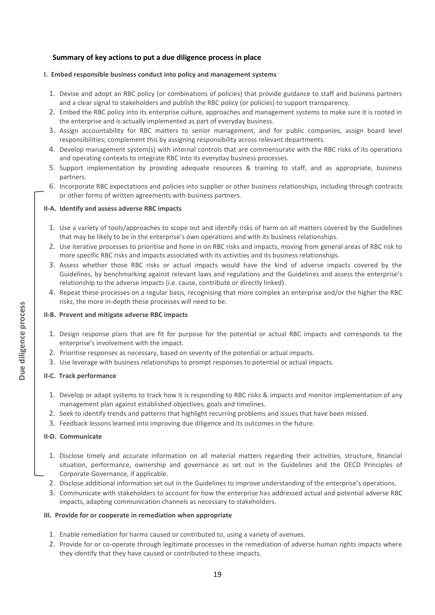### **Summary of key actions to put a due diligence process in place**

### **I. Embed responsible business conduct into policy and management systems**

- 1. Devise and adopt an RBC policy (or combinations of policies) that provide guidance to staff and business partners and a clear signal to stakeholders and publish the RBC policy (or policies) to support transparency.
- 2. Embed the RBC policy into its enterprise culture, approaches and management systems to make sure it is rooted in the enterprise and is actually implemented as part of everyday business.
- 3. Assign accountability for RBC matters to senior management, and for public companies, assign board level responsibilities; complement this by assigning responsibility across relevant departments.
- 4. Develop management system(s) with internal controls that are commensurate with the RBC risks of its operations and operating contexts to integrate RBC into its everyday business processes.
- 5. Support implementation by providing adequate resources & training to staff, and as appropriate, business partners.
- 6. Incorporate RBC expectations and policies into supplier or other business relationships, including through contracts or other forms of written agreements with business partners.

### **II-A. Identify and assess adverse RBC impacts**

- 1. Use a variety of tools/approaches to scope out and identify risks of harm on all matters covered by the Guidelines that may be likely to be in the enterprise's own operations and with its business relationships.
- 2. Use iterative processes to prioritise and hone in on RBC risks and impacts, moving from general areas of RBC risk to more specific RBC risks and impacts associated with its activities and its business relationships.
- 3. Assess whether those RBC risks or actual impacts would have the kind of adverse impacts covered by the Guidelines, by benchmarking against relevant laws and regulations and the Guidelines and assess the enterprise's relationship to the adverse impacts (i.e. cause, contribute or directly linked).
- 4. Repeat these processes on a regular basis, recognising that more complex an enterprise and/or the higher the RBC risks, the more in-depth these processes will need to be.

### **II-B. Prevent and mitigate adverse RBC impacts**

- 1. Design response plans that are fit for purpose for the potential or actual RBC impacts and corresponds to the enterprise's involvement with the impact.
- 2. Prioritise responses as necessary, based on severity of the potential or actual impacts.
- 3. Use leverage with business relationships to prompt responses to potential or actual impacts.

### **II-C. Track performance**

- 1. Develop or adapt systems to track how it is responding to RBC risks & impacts and monitor implementation of any management plan against established objectives, goals and timelines.
- 2. Seek to identify trends and patterns that highlight recurring problems and issues that have been missed.
- 3. Feedback lessons learned into improving due diligence and its outcomes in the future.

### **II-D. Communicate**

- 1. Disclose timely and accurate information on all material matters regarding their activities, structure, financial situation, performance, ownership and governance as set out in the Guidelines and the OECD Principles of Corporate Governance, if applicable.
- 2. Disclose additional information set out in the Guidelines to improve understanding of the enterprise's operations.
- 3. Communicate with stakeholders to account for how the enterprise has addressed actual and potential adverse RBC impacts, adapting communication channels as necessary to stakeholders.

### **III. Provide for or cooperate in remediation when appropriate**

- 1. Enable remediation for harms caused or contributed to, using a variety of avenues.
- 2. Provide for or co-operate through legitimate processes in the remediation of adverse human rights impacts where they identify that they have caused or contributed to these impacts.

Due diligence process **Due diligence process**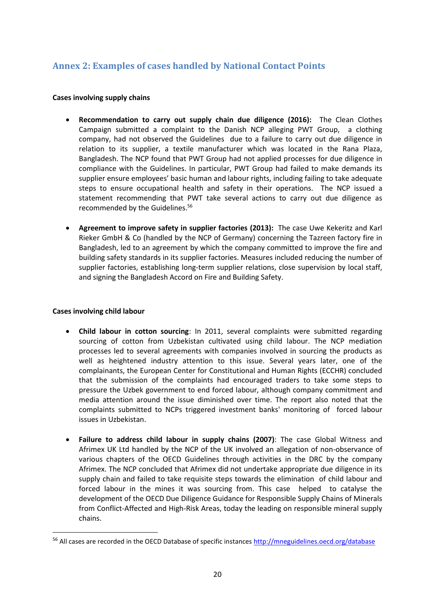# <span id="page-19-0"></span>**Annex 2: Examples of cases handled by National Contact Points**

### **Cases involving supply chains**

- **Recommendation to carry out supply chain due diligence (2016):** The Clean Clothes Campaign submitted a complaint to the Danish NCP alleging PWT Group, a clothing company, had not observed the Guidelines due to a failure to carry out due diligence in relation to its supplier, a textile manufacturer which was located in the Rana Plaza, Bangladesh. The NCP found that PWT Group had not applied processes for due diligence in compliance with the Guidelines. In particular, PWT Group had failed to make demands its supplier ensure employees' basic human and labour rights, including failing to take adequate steps to ensure occupational health and safety in their operations. The NCP issued a statement recommending that PWT take several actions to carry out due diligence as recommended by the Guidelines.<sup>56</sup>
- **Agreement to improve safety in supplier factories (2013):** The case Uwe Kekeritz and Karl Rieker GmbH & Co (handled by the NCP of Germany) concerning the Tazreen factory fire in Bangladesh, led to an agreement by which the company committed to improve the fire and building safety standards in its supplier factories. Measures included reducing the number of supplier factories, establishing long-term supplier relations, close supervision by local staff, and signing the Bangladesh Accord on Fire and Building Safety.

### **Cases involving child labour**

1

- **Child labour in cotton sourcing**: In 2011, several complaints were submitted regarding sourcing of cotton from Uzbekistan cultivated using child labour. The NCP mediation processes led to several agreements with companies involved in sourcing the products as well as heightened industry attention to this issue. Several years later, one of the complainants, the European Center for Constitutional and Human Rights (ECCHR) concluded that the submission of the complaints had encouraged traders to take some steps to pressure the Uzbek government to end forced labour, although company commitment and media attention around the issue diminished over time. The report also noted that the complaints submitted to NCPs triggered investment banks' monitoring of forced labour issues in Uzbekistan.
- **Failure to address child labour in supply chains (2007)**: The case Global Witness and Afrimex UK Ltd handled by the NCP of the UK involved an allegation of non-observance of various chapters of the OECD Guidelines through activities in the DRC by the company Afrimex. The NCP concluded that Afrimex did not undertake appropriate due diligence in its supply chain and failed to take requisite steps towards the elimination of child labour and forced labour in the mines it was sourcing from. This case helped to catalyse the development of the OECD Due Diligence Guidance for Responsible Supply Chains of Minerals from Conflict-Affected and High-Risk Areas, today the leading on responsible mineral supply chains.

<sup>&</sup>lt;sup>56</sup> All cases are recorded in the OECD Database of specific instances<http://mneguidelines.oecd.org/database>